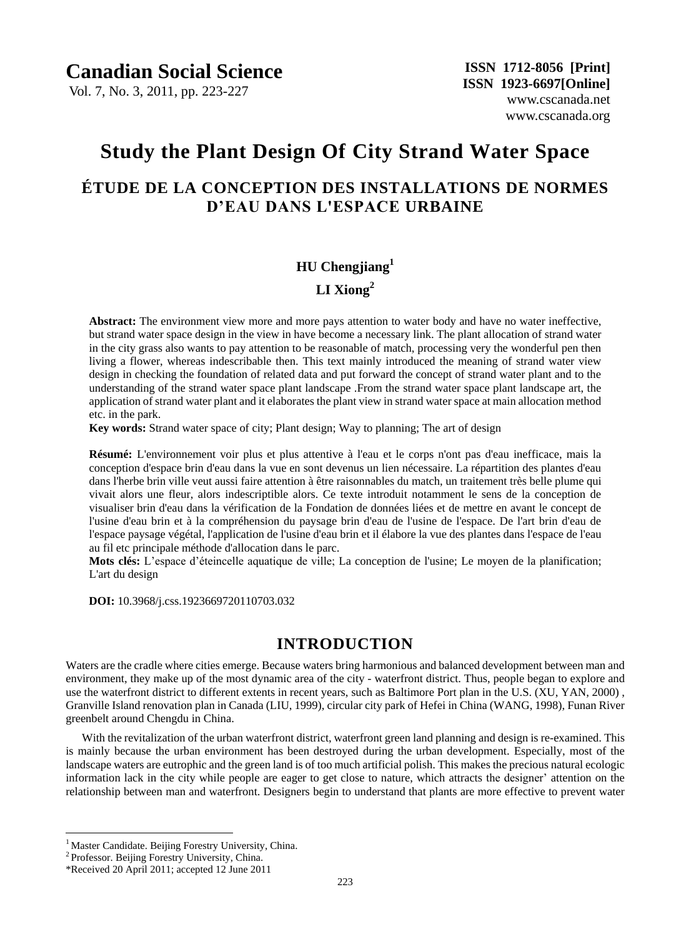Vol. 7, No. 3, 2011, pp. 223-227

# **Study the Plant Design Of City Strand Water Space**

## **ÉTUDE DE LA CONCEPTION DES INSTALLATIONS DE NORMES D'EAU DANS L'ESPACE URBAINE**

# **HU Chengjiang<sup>1</sup> LI Xiong<sup>2</sup>**

**Abstract:** The environment view more and more pays attention to water body and have no water ineffective, but strand water space design in the view in have become a necessary link. The plant allocation of strand water in the city grass also wants to pay attention to be reasonable of match, processing very the wonderful pen then living a flower, whereas indescribable then. This text mainly introduced the meaning of strand water view design in checking the foundation of related data and put forward the concept of strand water plant and to the understanding of the strand water space plant landscape .From the strand water space plant landscape art, the application of strand water plant and it elaborates the plant view in strand water space at main allocation method etc. in the park.

**Key words:** Strand water space of city; Plant design; Way to planning; The art of design

**Résumé:** L'environnement voir plus et plus attentive à l'eau et le corps n'ont pas d'eau inefficace, mais la conception d'espace brin d'eau dans la vue en sont devenus un lien nécessaire. La répartition des plantes d'eau dans l'herbe brin ville veut aussi faire attention à être raisonnables du match, un traitement très belle plume qui vivait alors une fleur, alors indescriptible alors. Ce texte introduit notamment le sens de la conception de visualiser brin d'eau dans la vérification de la Fondation de données liées et de mettre en avant le concept de l'usine d'eau brin et à la compréhension du paysage brin d'eau de l'usine de l'espace. De l'art brin d'eau de l'espace paysage y égétal, l'application de l'usine d'eau brin et il élabore la vue des plantes dans l'espace de l'eau au fil etc principale méthode d'allocation dans le parc.

**Mots clés:** L'espace d'éteincelle aquatique de ville; La conception de l'usine; Le moyen de la planification; L'art du design

 **DOI:** 10.3968/j.css.1923669720110703.032

## **INTRODUCTION**

Waters are the cradle where cities emerge. Because waters bring harmonious and balanced development between man and environment, they make up of the most dynamic area of the city - waterfront district. Thus, people began to explore and use the waterfront district to different extents in recent years, such as Baltimore Port plan in the U.S. (XU, YAN, 2000) , Granville Island renovation plan in Canada (LIU, 1999), circular city park of Hefei in China (WANG, 1998), Funan River greenbelt around Chengdu in China.

With the revitalization of the urban waterfront district, waterfront green land planning and design is re-examined. This is mainly because the urban environment has been destroyed during the urban development. Especially, most of the landscape waters are eutrophic and the green land is of too much artificial polish. This makes the precious natural ecologic information lack in the city while people are eager to get close to nature, which attracts the designer' attention on the relationship between man and waterfront. Designers begin to understand that plants are more effective to prevent water

 $\overline{a}$ 

<sup>&</sup>lt;sup>1</sup> Master Candidate. Beijing Forestry University, China.

<sup>&</sup>lt;sup>2</sup> Professor. Beijing Forestry University, China.

<sup>\*</sup>Received 20 April 2011; accepted 12 June 2011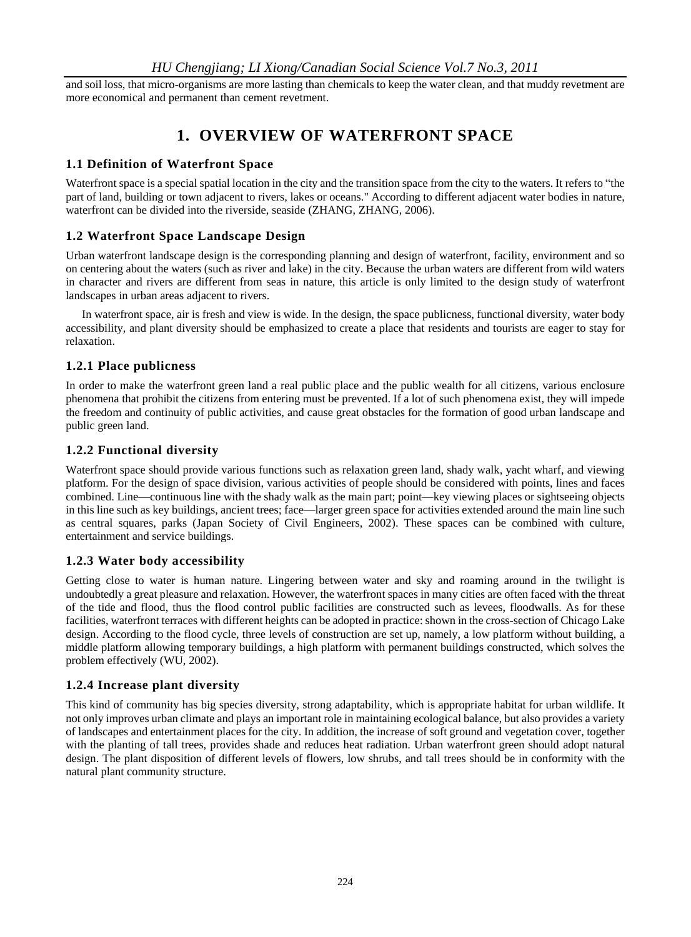and soil loss, that micro-organisms are more lasting than chemicals to keep the water clean, and that muddy revetment are more economical and permanent than cement revetment.

## **1. OVERVIEW OF WATERFRONT SPACE**

## **1.1 Definition of Waterfront Space**

Waterfront space is a special spatial location in the city and the transition space from the city to the waters. It refers to "the part of land, building or town adjacent to rivers, lakes or oceans." According to different adjacent water bodies in nature, waterfront can be divided into the riverside, seaside (ZHANG, ZHANG, 2006).

## **1.2 Waterfront Space Landscape Design**

Urban waterfront landscape design is the corresponding planning and design of waterfront, facility, environment and so on centering about the waters (such as river and lake) in the city. Because the urban waters are different from wild waters in character and rivers are different from seas in nature, this article is only limited to the design study of waterfront landscapes in urban areas adjacent to rivers.

In waterfront space, air is fresh and view is wide. In the design, the space publicness, functional diversity, water body accessibility, and plant diversity should be emphasized to create a place that residents and tourists are eager to stay for relaxation.

## **1.2.1 Place publicness**

In order to make the waterfront green land a real public place and the public wealth for all citizens, various enclosure phenomena that prohibit the citizens from entering must be prevented. If a lot of such phenomena exist, they will impede the freedom and continuity of public activities, and cause great obstacles for the formation of good urban landscape and public green land.

## **1.2.2 Functional diversity**

Waterfront space should provide various functions such as relaxation green land, shady walk, yacht wharf, and viewing platform. For the design of space division, various activities of people should be considered with points, lines and faces combined. Line—continuous line with the shady walk as the main part; point—key viewing places or sightseeing objects in this line such as key buildings, ancient trees; face—larger green space for activities extended around the main line such as central squares, parks (Japan Society of Civil Engineers, 2002). These spaces can be combined with culture, entertainment and service buildings.

## **1.2.3 Water body accessibility**

Getting close to water is human nature. Lingering between water and sky and roaming around in the twilight is undoubtedly a great pleasure and relaxation. However, the waterfront spaces in many cities are often faced with the threat of the tide and flood, thus the flood control public facilities are constructed such as levees, floodwalls. As for these facilities, waterfront terraces with different heights can be adopted in practice: shown in the cross-section of Chicago Lake design. According to the flood cycle, three levels of construction are set up, namely, a low platform without building, a middle platform allowing temporary buildings, a high platform with permanent buildings constructed, which solves the problem effectively (WU, 2002).

## **1.2.4 Increase plant diversity**

This kind of community has big species diversity, strong adaptability, which is appropriate habitat for urban wildlife. It not only improves urban climate and plays an important role in maintaining ecological balance, but also provides a variety of landscapes and entertainment places for the city. In addition, the increase of soft ground and vegetation cover, together with the planting of tall trees, provides shade and reduces heat radiation. Urban waterfront green should adopt natural design. The plant disposition of different levels of flowers, low shrubs, and tall trees should be in conformity with the natural plant community structure.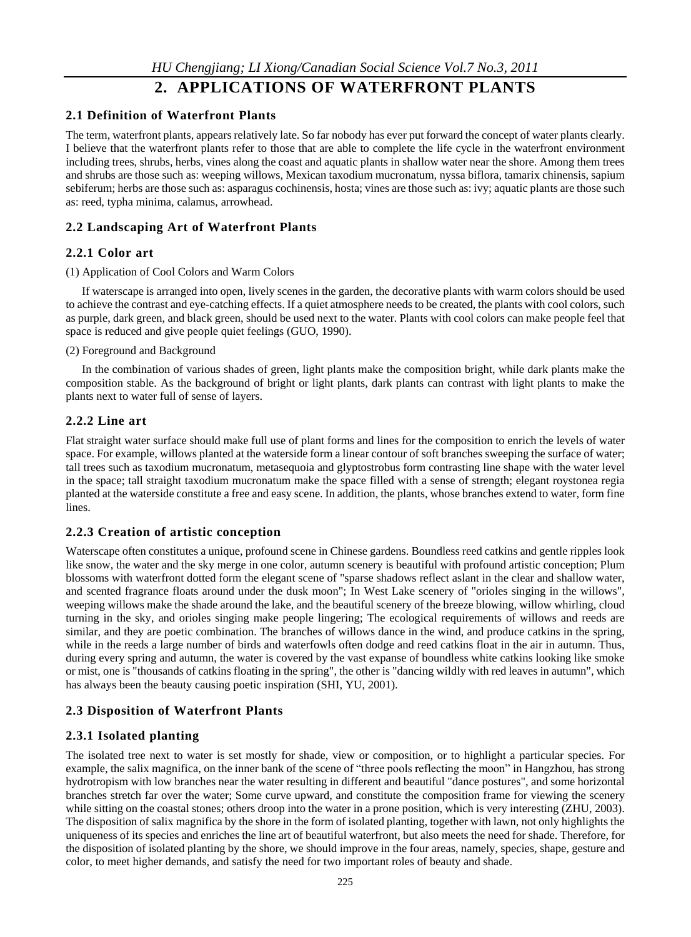## **2. APPLICATIONS OF WATERFRONT PLANTS**

### **2.1 Definition of Waterfront Plants**

The term, waterfront plants, appears relatively late. So far nobody has ever put forward the concept of water plants clearly. I believe that the waterfront plants refer to those that are able to complete the life cycle in the waterfront environment including trees, shrubs, herbs, vines along the coast and aquatic plants in shallow water near the shore. Among them trees and shrubs are those such as: weeping willows, Mexican taxodium mucronatum, nyssa biflora, tamarix chinensis, sapium sebiferum; herbs are those such as: asparagus cochinensis, hosta; vines are those such as: ivy; aquatic plants are those such as: reed, typha minima, calamus, arrowhead.

## **2.2 Landscaping Art of Waterfront Plants**

### **2.2.1 Color art**

#### (1) Application of Cool Colors and Warm Colors

If waterscape is arranged into open, lively scenes in the garden, the decorative plants with warm colors should be used to achieve the contrast and eye-catching effects. If a quiet atmosphere needs to be created, the plants with cool colors, such as purple, dark green, and black green, should be used next to the water. Plants with cool colors can make people feel that space is reduced and give people quiet feelings (GUO, 1990).

#### (2) Foreground and Background

In the combination of various shades of green, light plants make the composition bright, while dark plants make the composition stable. As the background of bright or light plants, dark plants can contrast with light plants to make the plants next to water full of sense of layers.

## **2.2.2 Line art**

Flat straight water surface should make full use of plant forms and lines for the composition to enrich the levels of water space. For example, willows planted at the waterside form a linear contour of soft branches sweeping the surface of water; tall trees such as taxodium mucronatum, metasequoia and glyptostrobus form contrasting line shape with the water level in the space; tall straight taxodium mucronatum make the space filled with a sense of strength; elegant roystonea regia planted at the waterside constitute a free and easy scene. In addition, the plants, whose branches extend to water, form fine lines.

## **2.2.3 Creation of artistic conception**

Waterscape often constitutes a unique, profound scene in Chinese gardens. Boundless reed catkins and gentle ripples look like snow, the water and the sky merge in one color, autumn scenery is beautiful with profound artistic conception; Plum blossoms with waterfront dotted form the elegant scene of "sparse shadows reflect aslant in the clear and shallow water, and scented fragrance floats around under the dusk moon"; In West Lake scenery of "orioles singing in the willows", weeping willows make the shade around the lake, and the beautiful scenery of the breeze blowing, willow whirling, cloud turning in the sky, and orioles singing make people lingering; The ecological requirements of willows and reeds are similar, and they are poetic combination. The branches of willows dance in the wind, and produce catkins in the spring, while in the reeds a large number of birds and waterfowls often dodge and reed catkins float in the air in autumn. Thus, during every spring and autumn, the water is covered by the vast expanse of boundless white catkins looking like smoke or mist, one is "thousands of catkins floating in the spring", the other is "dancing wildly with red leaves in autumn", which has always been the beauty causing poetic inspiration (SHI, YU, 2001).

## **2.3 Disposition of Waterfront Plants**

## **2.3.1 Isolated planting**

The isolated tree next to water is set mostly for shade, view or composition, or to highlight a particular species. For example, the salix magnifica, on the inner bank of the scene of "three pools reflecting the moon" in Hangzhou, has strong hydrotropism with low branches near the water resulting in different and beautiful "dance postures", and some horizontal branches stretch far over the water; Some curve upward, and constitute the composition frame for viewing the scenery while sitting on the coastal stones; others droop into the water in a prone position, which is very interesting (ZHU, 2003). The disposition of salix magnifica by the shore in the form of isolated planting, together with lawn, not only highlights the uniqueness of its species and enriches the line art of beautiful waterfront, but also meets the need for shade. Therefore, for the disposition of isolated planting by the shore, we should improve in the four areas, namely, species, shape, gesture and color, to meet higher demands, and satisfy the need for two important roles of beauty and shade.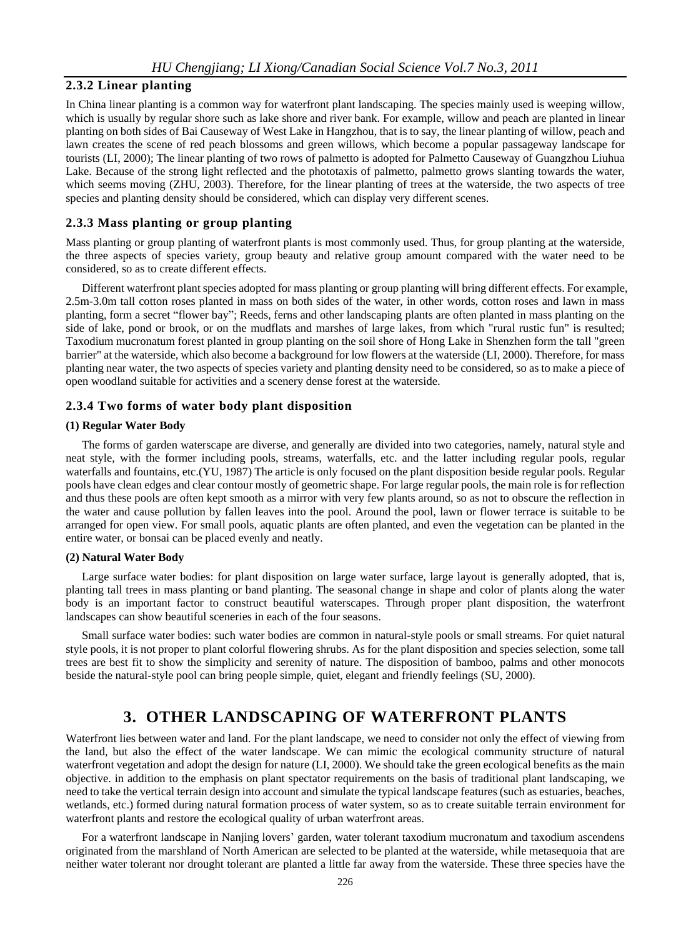## **2.3.2 Linear planting**

In China linear planting is a common way for waterfront plant landscaping. The species mainly used is weeping willow, which is usually by regular shore such as lake shore and river bank. For example, willow and peach are planted in linear planting on both sides of Bai Causeway of West Lake in Hangzhou, that is to say, the linear planting of willow, peach and lawn creates the scene of red peach blossoms and green willows, which become a popular passageway landscape for tourists (LI, 2000); The linear planting of two rows of palmetto is adopted for Palmetto Causeway of Guangzhou Liuhua Lake. Because of the strong light reflected and the phototaxis of palmetto, palmetto grows slanting towards the water, which seems moving (ZHU, 2003). Therefore, for the linear planting of trees at the waterside, the two aspects of tree species and planting density should be considered, which can display very different scenes.

#### **2.3.3 Mass planting or group planting**

Mass planting or group planting of waterfront plants is most commonly used. Thus, for group planting at the waterside, the three aspects of species variety, group beauty and relative group amount compared with the water need to be considered, so as to create different effects.

Different waterfront plant species adopted for mass planting or group planting will bring different effects. For example, 2.5m-3.0m tall cotton roses planted in mass on both sides of the water, in other words, cotton roses and lawn in mass planting, form a secret "flower bay"; Reeds, ferns and other landscaping plants are often planted in mass planting on the side of lake, pond or brook, or on the mudflats and marshes of large lakes, from which "rural rustic fun" is resulted; Taxodium mucronatum forest planted in group planting on the soil shore of Hong Lake in Shenzhen form the tall "green barrier" at the waterside, which also become a background for low flowers at the waterside (LI, 2000). Therefore, for mass planting near water, the two aspects of species variety and planting density need to be considered, so as to make a piece of open woodland suitable for activities and a scenery dense forest at the waterside.

#### **2.3.4 Two forms of water body plant disposition**

#### **(1) Regular Water Body**

The forms of garden waterscape are diverse, and generally are divided into two categories, namely, natural style and neat style, with the former including pools, streams, waterfalls, etc. and the latter including regular pools, regular waterfalls and fountains, etc.(YU, 1987) The article is only focused on the plant disposition beside regular pools. Regular pools have clean edges and clear contour mostly of geometric shape. For large regular pools, the main role is for reflection and thus these pools are often kept smooth as a mirror with very few plants around, so as not to obscure the reflection in the water and cause pollution by fallen leaves into the pool. Around the pool, lawn or flower terrace is suitable to be arranged for open view. For small pools, aquatic plants are often planted, and even the vegetation can be planted in the entire water, or bonsai can be placed evenly and neatly.

#### **(2) Natural Water Body**

Large surface water bodies: for plant disposition on large water surface, large layout is generally adopted, that is, planting tall trees in mass planting or band planting. The seasonal change in shape and color of plants along the water body is an important factor to construct beautiful waterscapes. Through proper plant disposition, the waterfront landscapes can show beautiful sceneries in each of the four seasons.

Small surface water bodies: such water bodies are common in natural-style pools or small streams. For quiet natural style pools, it is not proper to plant colorful flowering shrubs. As for the plant disposition and species selection, some tall trees are best fit to show the simplicity and serenity of nature. The disposition of bamboo, palms and other monocots beside the natural-style pool can bring people simple, quiet, elegant and friendly feelings (SU, 2000).

## **3. OTHER LANDSCAPING OF WATERFRONT PLANTS**

Waterfront lies between water and land. For the plant landscape, we need to consider not only the effect of viewing from the land, but also the effect of the water landscape. We can mimic the ecological community structure of natural waterfront vegetation and adopt the design for nature (LI, 2000). We should take the green ecological benefits as the main objective. in addition to the emphasis on plant spectator requirements on the basis of traditional plant landscaping, we need to take the vertical terrain design into account and simulate the typical landscape features (such as estuaries, beaches, wetlands, etc.) formed during natural formation process of water system, so as to create suitable terrain environment for waterfront plants and restore the ecological quality of urban waterfront areas.

For a waterfront landscape in Nanjing lovers' garden, water tolerant taxodium mucronatum and taxodium ascendens originated from the marshland of North American are selected to be planted at the waterside, while metasequoia that are neither water tolerant nor drought tolerant are planted a little far away from the waterside. These three species have the